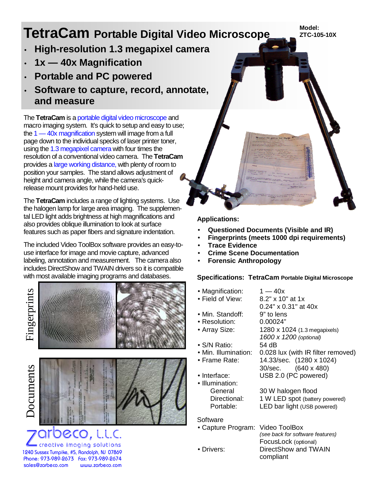# **TetraCam Portable Digital Video Microscope**

**Model: ZTC-105-10X** 

- **High-resolution 1.3 megapixel camera**
- **1x — 40x Magnification**
- **Portable and PC powered**
- **Software to capture, record, annotate, and measure**

The **TetraCam** is a portable digital video microscope and macro imaging system. It's quick to setup and easy to use; the 1 — 40x magnification system will image from a full page down to the individual specks of laser printer toner, using the 1.3 megapixel camera with four times the resolution of a conventional video camera. The **TetraCam**  provides a large working distance, with plenty of room to position your samples. The stand allows adjustment of height and camera angle, while the camera's quickrelease mount provides for hand-held use.

The **TetraCam** includes a range of lighting systems. Use the halogen lamp for large area imaging. The supplemental LED light adds brightness at high magnifications and also provides oblique illumination to look at surface features such as paper fibers and signature indentation.

The included Video ToolBox software provides an easy-touse interface for image and movie capture, advanced labeling, annotation and measurement. The camera also includes DirectShow and TWAIN drivers so it is compatible with most available imaging programs and databases.

Fing erpri nts







# 00CO, L.L.C. creative imaging solutions

1240 Sussex Turnpike, #5, Randolph, NJ 07869 Phone: 973-989-2673 Fax: 973-989-2674 sales@zarbeco.com

### **Applications:**

- **Questioned Documents (Visible and IR)**
- **Fingerprints (meets 1000 dpi requirements)**

atten to these

- **Trace Evidence**
- **Crime Scene Documentation**
- **Forensic Anthropology**

#### **Specifications: TetraCam Portable Digital Microscope**

- Magnification:  $1 40x$ <br>• Field of View:  $8.2" \times 10$ 
	- 8.2" x 10" at 1x 0.24" x 0.31" at 40x
- Min. Standoff: 9" to lens
- Resolution: 0.00024"
- Array Size: 1280 x 1024 (1.3 megapixels)
	- *1600 x 1200 (optional)*

30/sec. (640 x 480)

- S/N Ratio: 54 dB
- Min. Illumination: 0.028 lux (with IR filter removed)
- Frame Rate: 14.33/sec. (1280 x 1024)
- Interface: USB 2.0 (PC powered)
- Illumination: General 30 W halogen flood Directional: 1 W LED spot (battery powered) Portable: LED bar light (USB powered)

#### **Software**

• Capture Program: Video ToolBox

*(see back for software features)*  FocusLock (optional) • Drivers: DirectShow and TWAIN compliant